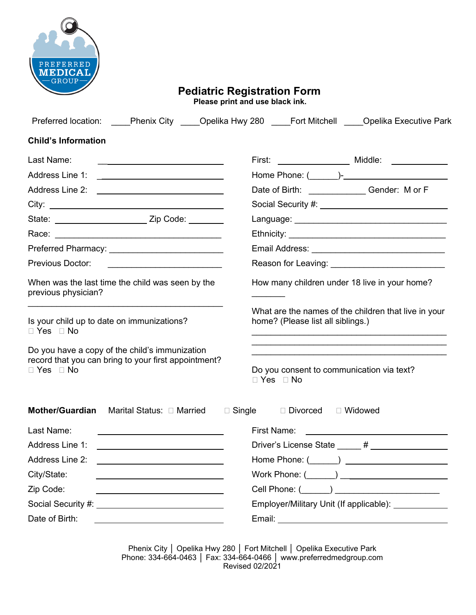

# **Pediatric Registration Form Please print and use black ink.**

| Preferred location: _____Phenix City _____Opelika Hwy 280 _____Fort Mitchell _____Opelika Executive Park                                |                                                                                                                                                                                                                                                                                                                                                                    |  |  |
|-----------------------------------------------------------------------------------------------------------------------------------------|--------------------------------------------------------------------------------------------------------------------------------------------------------------------------------------------------------------------------------------------------------------------------------------------------------------------------------------------------------------------|--|--|
| <b>Child's Information</b>                                                                                                              |                                                                                                                                                                                                                                                                                                                                                                    |  |  |
| Last Name:                                                                                                                              |                                                                                                                                                                                                                                                                                                                                                                    |  |  |
|                                                                                                                                         |                                                                                                                                                                                                                                                                                                                                                                    |  |  |
|                                                                                                                                         | Date of Birth: _________________Gender: M or F                                                                                                                                                                                                                                                                                                                     |  |  |
| City:                                                                                                                                   |                                                                                                                                                                                                                                                                                                                                                                    |  |  |
|                                                                                                                                         |                                                                                                                                                                                                                                                                                                                                                                    |  |  |
|                                                                                                                                         |                                                                                                                                                                                                                                                                                                                                                                    |  |  |
|                                                                                                                                         |                                                                                                                                                                                                                                                                                                                                                                    |  |  |
| Previous Doctor:                                                                                                                        | Reason for Leaving: ___________________________                                                                                                                                                                                                                                                                                                                    |  |  |
| When was the last time the child was seen by the<br>previous physician?                                                                 | How many children under 18 live in your home?                                                                                                                                                                                                                                                                                                                      |  |  |
| Is your child up to date on immunizations?<br>$\Box$ Yes $\Box$ No                                                                      | What are the names of the children that live in your<br>home? (Please list all siblings.)                                                                                                                                                                                                                                                                          |  |  |
| Do you have a copy of the child's immunization<br>record that you can bring to your first appointment?<br>$\Box$ Yes $\Box$ No          | <u> 1989 - Johann John Stone, markin film ar yn y brenin y brenin y brenin y brenin y brenin y brenin y brenin y</u><br>Do you consent to communication via text?<br>$\Box$ Yes $\Box$ No                                                                                                                                                                          |  |  |
| <b>Mother/Guardian</b><br>Marital Status: □ Married □ Single                                                                            | □ Divorced<br>□ Widowed                                                                                                                                                                                                                                                                                                                                            |  |  |
| Last Name:                                                                                                                              | First Name:                                                                                                                                                                                                                                                                                                                                                        |  |  |
| Address Line 1:<br><u> 1980 - Jan Stein Stein Stein Stein Stein Stein Stein Stein Stein Stein Stein Stein Stein Stein Stein Stein S</u> |                                                                                                                                                                                                                                                                                                                                                                    |  |  |
| Address Line 2:                                                                                                                         | Home Phone: (<br>$\qquad \qquad$ $\qquad \qquad$ $\qquad$ $\qquad$ $\qquad$ $\qquad$ $\qquad$ $\qquad$ $\qquad$ $\qquad$ $\qquad$ $\qquad$ $\qquad$ $\qquad$ $\qquad$ $\qquad$ $\qquad$ $\qquad$ $\qquad$ $\qquad$ $\qquad$ $\qquad$ $\qquad$ $\qquad$ $\qquad$ $\qquad$ $\qquad$ $\qquad$ $\qquad$ $\qquad$ $\qquad$ $\qquad$ $\qquad$ $\qquad$ $\qquad$ $\qquad$ |  |  |
| City/State:                                                                                                                             | Work Phone: $(\_\_\_\_\_\_\_\_\_\$                                                                                                                                                                                                                                                                                                                                 |  |  |
| Zip Code:                                                                                                                               |                                                                                                                                                                                                                                                                                                                                                                    |  |  |
|                                                                                                                                         | Employer/Military Unit (If applicable): ____________                                                                                                                                                                                                                                                                                                               |  |  |
| Date of Birth:                                                                                                                          |                                                                                                                                                                                                                                                                                                                                                                    |  |  |

Phenix City │ Opelika Hwy 280 │ Fort Mitchell │ Opelika Executive Park Phone: 334-664-0463 │ Fax: 334-664-0466 │ www.preferredmedgroup.com Revised 02/2021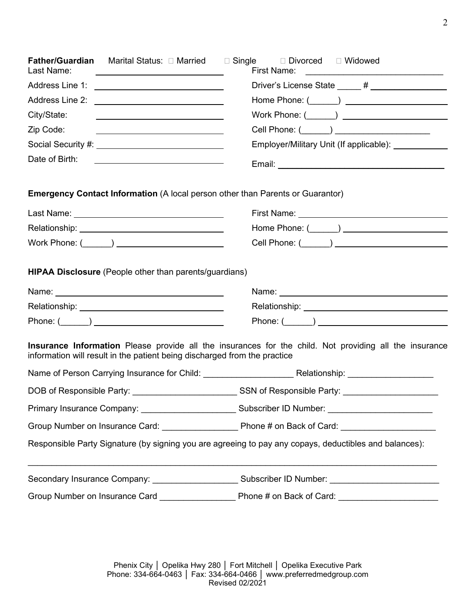| Driver's License State _____ # __________________<br>Work Phone: (______) _______________________<br>City/State:<br><u> 1989 - Johann Barn, mars eta bainar eta baina eta baina eta baina eta baina eta baina eta baina eta baina e</u><br>Zip Code:<br>Employer/Military Unit (If applicable): ______________<br>Date of Birth:<br><u> 1989 - Johann John Stein, fransk politik (</u><br><b>Emergency Contact Information</b> (A local person other than Parents or Guarantor)<br><b>HIPAA Disclosure</b> (People other than parents/guardians)<br>Relationship: Note and the set of the set of the set of the set of the set of the set of the set of the set of<br><b>Insurance Information</b> Please provide all the insurances for the child. Not providing all the insurance<br>information will result in the patient being discharged from the practice<br>DOB of Responsible Party: ______________________________SSN of Responsible Party: ___________________________ | <u> Alexandria de la contexta de la contexta de la contexta de la contexta de la contexta de la contexta de la c</u> |  |  |  |
|-----------------------------------------------------------------------------------------------------------------------------------------------------------------------------------------------------------------------------------------------------------------------------------------------------------------------------------------------------------------------------------------------------------------------------------------------------------------------------------------------------------------------------------------------------------------------------------------------------------------------------------------------------------------------------------------------------------------------------------------------------------------------------------------------------------------------------------------------------------------------------------------------------------------------------------------------------------------------------------|----------------------------------------------------------------------------------------------------------------------|--|--|--|
|                                                                                                                                                                                                                                                                                                                                                                                                                                                                                                                                                                                                                                                                                                                                                                                                                                                                                                                                                                                   |                                                                                                                      |  |  |  |
|                                                                                                                                                                                                                                                                                                                                                                                                                                                                                                                                                                                                                                                                                                                                                                                                                                                                                                                                                                                   |                                                                                                                      |  |  |  |
|                                                                                                                                                                                                                                                                                                                                                                                                                                                                                                                                                                                                                                                                                                                                                                                                                                                                                                                                                                                   |                                                                                                                      |  |  |  |
|                                                                                                                                                                                                                                                                                                                                                                                                                                                                                                                                                                                                                                                                                                                                                                                                                                                                                                                                                                                   |                                                                                                                      |  |  |  |
|                                                                                                                                                                                                                                                                                                                                                                                                                                                                                                                                                                                                                                                                                                                                                                                                                                                                                                                                                                                   |                                                                                                                      |  |  |  |
|                                                                                                                                                                                                                                                                                                                                                                                                                                                                                                                                                                                                                                                                                                                                                                                                                                                                                                                                                                                   |                                                                                                                      |  |  |  |
|                                                                                                                                                                                                                                                                                                                                                                                                                                                                                                                                                                                                                                                                                                                                                                                                                                                                                                                                                                                   |                                                                                                                      |  |  |  |
|                                                                                                                                                                                                                                                                                                                                                                                                                                                                                                                                                                                                                                                                                                                                                                                                                                                                                                                                                                                   |                                                                                                                      |  |  |  |
|                                                                                                                                                                                                                                                                                                                                                                                                                                                                                                                                                                                                                                                                                                                                                                                                                                                                                                                                                                                   |                                                                                                                      |  |  |  |
|                                                                                                                                                                                                                                                                                                                                                                                                                                                                                                                                                                                                                                                                                                                                                                                                                                                                                                                                                                                   |                                                                                                                      |  |  |  |
|                                                                                                                                                                                                                                                                                                                                                                                                                                                                                                                                                                                                                                                                                                                                                                                                                                                                                                                                                                                   |                                                                                                                      |  |  |  |
|                                                                                                                                                                                                                                                                                                                                                                                                                                                                                                                                                                                                                                                                                                                                                                                                                                                                                                                                                                                   |                                                                                                                      |  |  |  |
|                                                                                                                                                                                                                                                                                                                                                                                                                                                                                                                                                                                                                                                                                                                                                                                                                                                                                                                                                                                   |                                                                                                                      |  |  |  |
|                                                                                                                                                                                                                                                                                                                                                                                                                                                                                                                                                                                                                                                                                                                                                                                                                                                                                                                                                                                   |                                                                                                                      |  |  |  |
|                                                                                                                                                                                                                                                                                                                                                                                                                                                                                                                                                                                                                                                                                                                                                                                                                                                                                                                                                                                   |                                                                                                                      |  |  |  |
|                                                                                                                                                                                                                                                                                                                                                                                                                                                                                                                                                                                                                                                                                                                                                                                                                                                                                                                                                                                   |                                                                                                                      |  |  |  |
|                                                                                                                                                                                                                                                                                                                                                                                                                                                                                                                                                                                                                                                                                                                                                                                                                                                                                                                                                                                   |                                                                                                                      |  |  |  |
|                                                                                                                                                                                                                                                                                                                                                                                                                                                                                                                                                                                                                                                                                                                                                                                                                                                                                                                                                                                   |                                                                                                                      |  |  |  |
|                                                                                                                                                                                                                                                                                                                                                                                                                                                                                                                                                                                                                                                                                                                                                                                                                                                                                                                                                                                   |                                                                                                                      |  |  |  |
| Responsible Party Signature (by signing you are agreeing to pay any copays, deductibles and balances):                                                                                                                                                                                                                                                                                                                                                                                                                                                                                                                                                                                                                                                                                                                                                                                                                                                                            |                                                                                                                      |  |  |  |
|                                                                                                                                                                                                                                                                                                                                                                                                                                                                                                                                                                                                                                                                                                                                                                                                                                                                                                                                                                                   |                                                                                                                      |  |  |  |
| Secondary Insurance Company: ___________________________Subscriber ID Number: ______________________                                                                                                                                                                                                                                                                                                                                                                                                                                                                                                                                                                                                                                                                                                                                                                                                                                                                              |                                                                                                                      |  |  |  |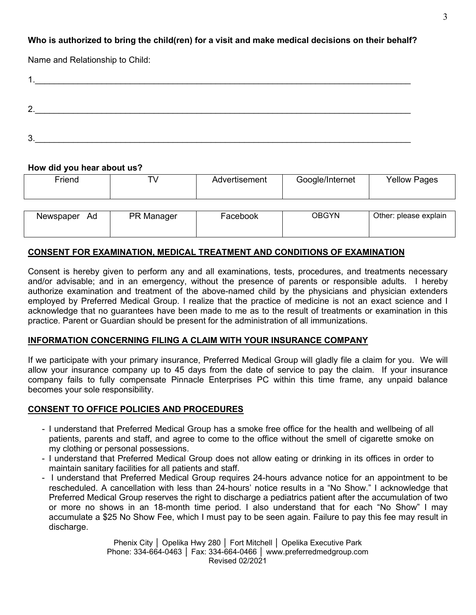# **Who is authorized to bring the child(ren) for a visit and make medical decisions on their behalf?**

Name and Relationship to Child:

| ◠      |  |  |
|--------|--|--|
|        |  |  |
| ാ<br>v |  |  |

#### **How did you hear about us?**

| Friend          |            | Advertisement | Google/Internet | <b>Yellow Pages</b>   |
|-----------------|------------|---------------|-----------------|-----------------------|
| Ad<br>Newspaper | PR Manager | Facebook      | <b>OBGYN</b>    | Other: please explain |

#### **CONSENT FOR EXAMINATION, MEDICAL TREATMENT AND CONDITIONS OF EXAMINATION**

Consent is hereby given to perform any and all examinations, tests, procedures, and treatments necessary and/or advisable; and in an emergency, without the presence of parents or responsible adults. I hereby authorize examination and treatment of the above-named child by the physicians and physician extenders employed by Preferred Medical Group. I realize that the practice of medicine is not an exact science and I acknowledge that no guarantees have been made to me as to the result of treatments or examination in this practice. Parent or Guardian should be present for the administration of all immunizations.

#### **INFORMATION CONCERNING FILING A CLAIM WITH YOUR INSURANCE COMPANY**

If we participate with your primary insurance, Preferred Medical Group will gladly file a claim for you. We will allow your insurance company up to 45 days from the date of service to pay the claim. If your insurance company fails to fully compensate Pinnacle Enterprises PC within this time frame, any unpaid balance becomes your sole responsibility.

## **CONSENT TO OFFICE POLICIES AND PROCEDURES**

- I understand that Preferred Medical Group has a smoke free office for the health and wellbeing of all patients, parents and staff, and agree to come to the office without the smell of cigarette smoke on my clothing or personal possessions.
- I understand that Preferred Medical Group does not allow eating or drinking in its offices in order to maintain sanitary facilities for all patients and staff.
- I understand that Preferred Medical Group requires 24-hours advance notice for an appointment to be rescheduled. A cancellation with less than 24-hours' notice results in a "No Show." I acknowledge that Preferred Medical Group reserves the right to discharge a pediatrics patient after the accumulation of two or more no shows in an 18-month time period. I also understand that for each "No Show" I may accumulate a \$25 No Show Fee, which I must pay to be seen again. Failure to pay this fee may result in discharge.

Phenix City │ Opelika Hwy 280 │ Fort Mitchell │ Opelika Executive Park Phone: 334-664-0463 │ Fax: 334-664-0466 │ www.preferredmedgroup.com Revised 02/2021